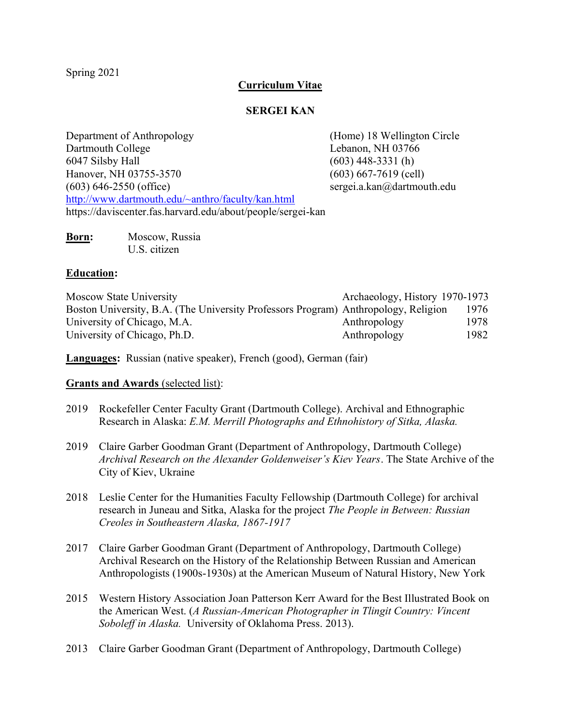Spring 2021

# **Curriculum Vitae**

# **SERGEI KAN**

Department of Anthropology (Home) 18 Wellington Circle Dartmouth College Lebanon, NH 03766 6047 Silsby Hall (603) 448-3331 (h) Hanover, NH 03755-3570 (603) 667-7619 (cell) (603) 646-2550 (office) sergei.a.kan@dartmouth.edu <http://www.dartmouth.edu/~anthro/faculty/kan.html> https://daviscenter.fas.harvard.edu/about/people/sergei-kan

| Born: | Moscow, Russia |
|-------|----------------|
|       | U.S. citizen   |

# **Education:**

| Moscow State University                                                            | Archaeology, History 1970-1973 |      |
|------------------------------------------------------------------------------------|--------------------------------|------|
| Boston University, B.A. (The University Professors Program) Anthropology, Religion |                                | 1976 |
| University of Chicago, M.A.                                                        | Anthropology                   | 1978 |
| University of Chicago, Ph.D.                                                       | Anthropology                   | 1982 |

**Languages:** Russian (native speaker), French (good), German (fair)

# **Grants and Awards** (selected list):

- 2019 Rockefeller Center Faculty Grant (Dartmouth College). Archival and Ethnographic Research in Alaska: *E.M. Merrill Photographs and Ethnohistory of Sitka, Alaska.*
- 2019 Claire Garber Goodman Grant (Department of Anthropology, Dartmouth College) *Archival Research on the Alexander Goldenweiser's Kiev Years*. The State Archive of the City of Kiev, Ukraine
- 2018 Leslie Center for the Humanities Faculty Fellowship (Dartmouth College) for archival research in Juneau and Sitka, Alaska for the project *The People in Between: Russian Creoles in Southeastern Alaska, 1867-1917*
- 2017 Claire Garber Goodman Grant (Department of Anthropology, Dartmouth College) Archival Research on the History of the Relationship Between Russian and American Anthropologists (1900s-1930s) at the American Museum of Natural History, New York
- 2015 Western History Association Joan Patterson Kerr Award for the Best Illustrated Book on the American West. (*A Russian-American Photographer in Tlingit Country: Vincent Soboleff in Alaska.* University of Oklahoma Press. 2013).
- 2013 Claire Garber Goodman Grant (Department of Anthropology, Dartmouth College)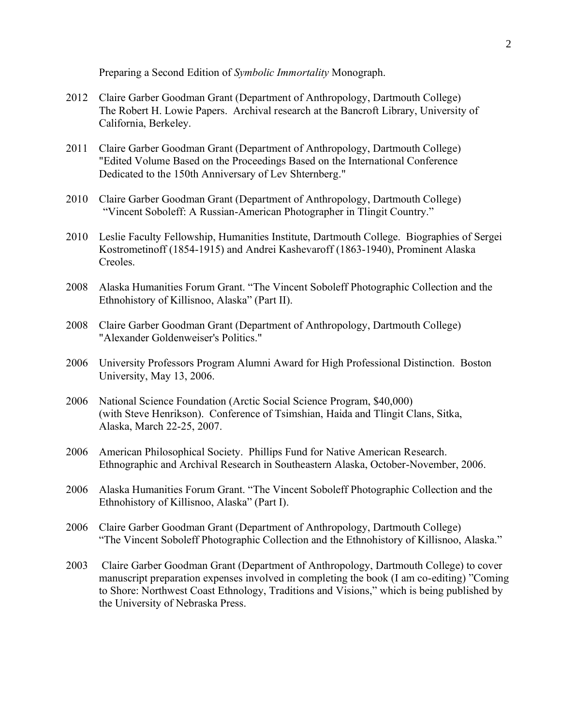Preparing a Second Edition of *Symbolic Immortality* Monograph.

- 2012 Claire Garber Goodman Grant (Department of Anthropology, Dartmouth College) The Robert H. Lowie Papers. Archival research at the Bancroft Library, University of California, Berkeley.
- 2011 Claire Garber Goodman Grant (Department of Anthropology, Dartmouth College) "Edited Volume Based on the Proceedings Based on the International Conference Dedicated to the 150th Anniversary of Lev Shternberg."
- 2010 Claire Garber Goodman Grant (Department of Anthropology, Dartmouth College) "Vincent Soboleff: A Russian-American Photographer in Tlingit Country."
- 2010 Leslie Faculty Fellowship, Humanities Institute, Dartmouth College. Biographies of Sergei Kostrometinoff (1854-1915) and Andrei Kashevaroff (1863-1940), Prominent Alaska Creoles.
- 2008 Alaska Humanities Forum Grant. "The Vincent Soboleff Photographic Collection and the Ethnohistory of Killisnoo, Alaska" (Part II).
- 2008 Claire Garber Goodman Grant (Department of Anthropology, Dartmouth College) "Alexander Goldenweiser's Politics."
- 2006 University Professors Program Alumni Award for High Professional Distinction. Boston University, May 13, 2006.
- 2006 National Science Foundation (Arctic Social Science Program, \$40,000) (with Steve Henrikson). Conference of Tsimshian, Haida and Tlingit Clans, Sitka, Alaska, March 22-25, 2007.
- 2006 American Philosophical Society. Phillips Fund for Native American Research. Ethnographic and Archival Research in Southeastern Alaska, October-November, 2006.
- 2006 Alaska Humanities Forum Grant. "The Vincent Soboleff Photographic Collection and the Ethnohistory of Killisnoo, Alaska" (Part I).
- 2006 Claire Garber Goodman Grant (Department of Anthropology, Dartmouth College) "The Vincent Soboleff Photographic Collection and the Ethnohistory of Killisnoo, Alaska."
- 2003 Claire Garber Goodman Grant (Department of Anthropology, Dartmouth College) to cover manuscript preparation expenses involved in completing the book (I am co-editing) "Coming to Shore: Northwest Coast Ethnology, Traditions and Visions," which is being published by the University of Nebraska Press.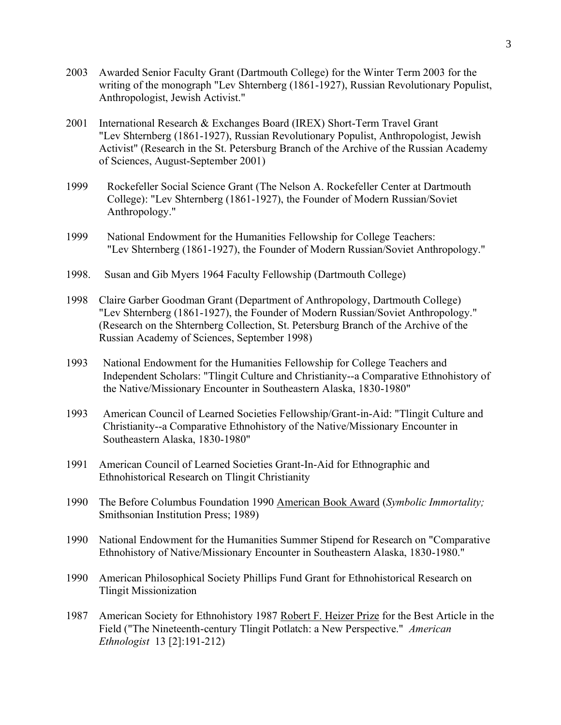- 2003 Awarded Senior Faculty Grant (Dartmouth College) for the Winter Term 2003 for the writing of the monograph "Lev Shternberg (1861-1927), Russian Revolutionary Populist, Anthropologist, Jewish Activist."
- 2001 International Research & Exchanges Board (IREX) Short-Term Travel Grant "Lev Shternberg (1861-1927), Russian Revolutionary Populist, Anthropologist, Jewish Activist" (Research in the St. Petersburg Branch of the Archive of the Russian Academy of Sciences, August-September 2001)
- 1999 Rockefeller Social Science Grant (The Nelson A. Rockefeller Center at Dartmouth College): "Lev Shternberg (1861-1927), the Founder of Modern Russian/Soviet Anthropology."
- 1999 National Endowment for the Humanities Fellowship for College Teachers: "Lev Shternberg (1861-1927), the Founder of Modern Russian/Soviet Anthropology."
- 1998. Susan and Gib Myers 1964 Faculty Fellowship (Dartmouth College)
- 1998 Claire Garber Goodman Grant (Department of Anthropology, Dartmouth College) "Lev Shternberg (1861-1927), the Founder of Modern Russian/Soviet Anthropology." (Research on the Shternberg Collection, St. Petersburg Branch of the Archive of the Russian Academy of Sciences, September 1998)
- 1993 National Endowment for the Humanities Fellowship for College Teachers and Independent Scholars: "Tlingit Culture and Christianity--a Comparative Ethnohistory of the Native/Missionary Encounter in Southeastern Alaska, 1830-1980"
- 1993 American Council of Learned Societies Fellowship/Grant-in-Aid: "Tlingit Culture and Christianity--a Comparative Ethnohistory of the Native/Missionary Encounter in Southeastern Alaska, 1830-1980"
- 1991 American Council of Learned Societies Grant-In-Aid for Ethnographic and Ethnohistorical Research on Tlingit Christianity
- 1990 The Before Columbus Foundation 1990 American Book Award (*Symbolic Immortality;*  Smithsonian Institution Press; 1989)
- 1990 National Endowment for the Humanities Summer Stipend for Research on "Comparative Ethnohistory of Native/Missionary Encounter in Southeastern Alaska, 1830-1980."
- 1990 American Philosophical Society Phillips Fund Grant for Ethnohistorical Research on Tlingit Missionization
- 1987 American Society for Ethnohistory 1987 Robert F. Heizer Prize for the Best Article in the Field ("The Nineteenth-century Tlingit Potlatch: a New Perspective." *American Ethnologist* 13 [2]:191-212)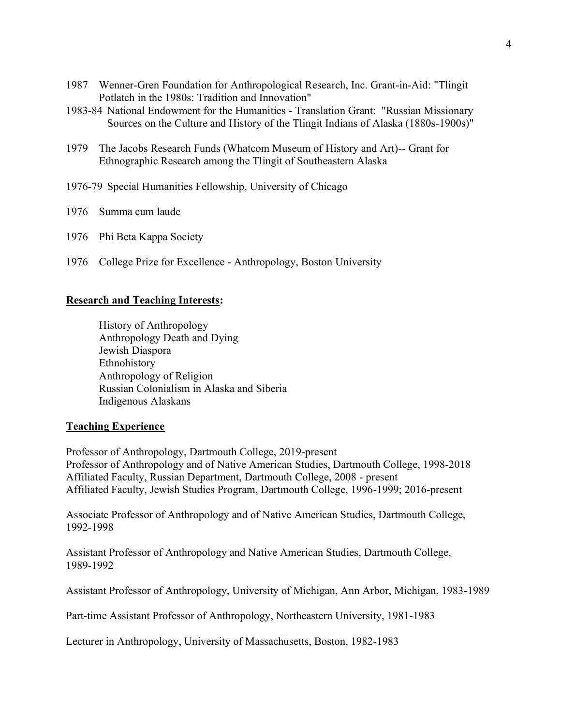- 1987 Wenner-Gren Foundation for Anthropological Research, Inc. Grant-in-Aid: "Tlingit Potlatch in the 1980s: Tradition and Innovation"
- 1983-84 National Endowment for the Humanities Translation Grant: "Russian Missionary Sources on the Culture and History of the Tlingit Indians of Alaska (1880s-1900s)"
- 1979 The Jacobs Research Funds (Whatcom Museum of History and Art)-- Grant for Ethnographic Research among the Tlingit of Southeastern Alaska
- 1976-79 Special Humanities Fellowship, University of Chicago
- 1976 Summa cum laude
- 1976 Phi Beta Kappa Society
- 1976 College Prize for Excellence Anthropology, Boston University

# **Research and Teaching Interests:**

History of Anthropology Anthropology Death and Dying Jewish Diaspora Ethnohistory Anthropology of Religion Russian Colonialism in Alaska and Siberia Indigenous Alaskans

# **Teaching Experience**

Professor of Anthropology, Dartmouth College, 2019-present Professor of Anthropology and of Native American Studies, Dartmouth College, 1998-2018 Affiliated Faculty, Russian Department, Dartmouth College, 2008 - present Affiliated Faculty, Jewish Studies Program, Dartmouth College, 1996-1999; 2016-present

Associate Professor of Anthropology and of Native American Studies, Dartmouth College, 1992-1998

Assistant Professor of Anthropology and Native American Studies, Dartmouth College, 1989-1992

Assistant Professor of Anthropology, University of Michigan, Ann Arbor, Michigan, 1983-1989

Part-time Assistant Professor of Anthropology, Northeastern University, 1981-1983

Lecturer in Anthropology, University of Massachusetts, Boston, 1982-1983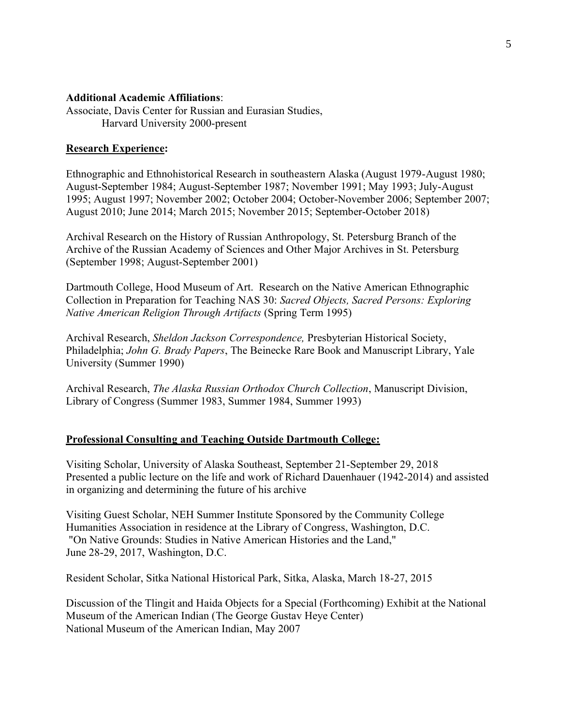## **Additional Academic Affiliations**:

Associate, Davis Center for Russian and Eurasian Studies, Harvard University 2000-present

#### **Research Experience:**

Ethnographic and Ethnohistorical Research in southeastern Alaska (August 1979-August 1980; August-September 1984; August-September 1987; November 1991; May 1993; July-August 1995; August 1997; November 2002; October 2004; October-November 2006; September 2007; August 2010; June 2014; March 2015; November 2015; September-October 2018)

Archival Research on the History of Russian Anthropology, St. Petersburg Branch of the Archive of the Russian Academy of Sciences and Other Major Archives in St. Petersburg (September 1998; August-September 2001)

Dartmouth College, Hood Museum of Art. Research on the Native American Ethnographic Collection in Preparation for Teaching NAS 30: *Sacred Objects, Sacred Persons: Exploring Native American Religion Through Artifacts* (Spring Term 1995)

Archival Research, *Sheldon Jackson Correspondence,* Presbyterian Historical Society, Philadelphia; *John G. Brady Papers*, The Beinecke Rare Book and Manuscript Library, Yale University (Summer 1990)

Archival Research, *The Alaska Russian Orthodox Church Collection*, Manuscript Division, Library of Congress (Summer 1983, Summer 1984, Summer 1993)

#### **Professional Consulting and Teaching Outside Dartmouth College:**

Visiting Scholar, University of Alaska Southeast, September 21-September 29, 2018 Presented a public lecture on the life and work of Richard Dauenhauer (1942-2014) and assisted in organizing and determining the future of his archive

Visiting Guest Scholar, NEH Summer Institute Sponsored by the Community College Humanities Association in residence at the Library of Congress, Washington, D.C. "On Native Grounds: Studies in Native American Histories and the Land," June 28-29, 2017, Washington, D.C.

Resident Scholar, Sitka National Historical Park, Sitka, Alaska, March 18-27, 2015

Discussion of the Tlingit and Haida Objects for a Special (Forthcoming) Exhibit at the National Museum of the American Indian (The George Gustav Heye Center) National Museum of the American Indian, May 2007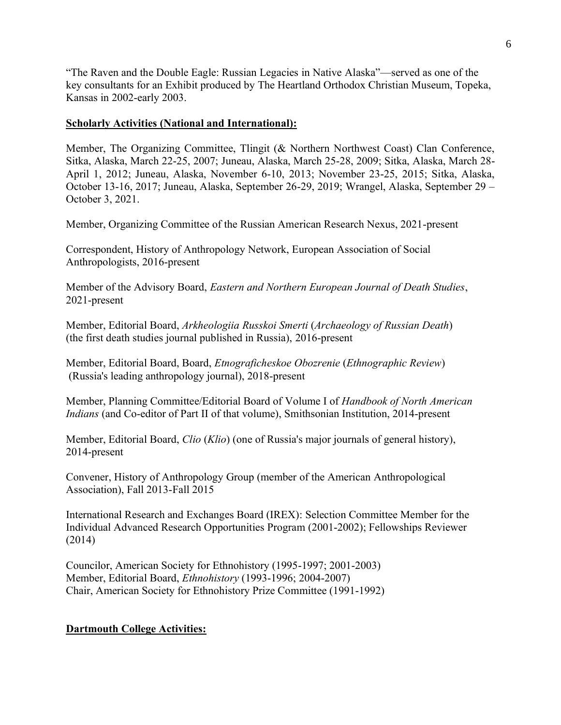"The Raven and the Double Eagle: Russian Legacies in Native Alaska"—served as one of the key consultants for an Exhibit produced by The Heartland Orthodox Christian Museum, Topeka, Kansas in 2002-early 2003.

# **Scholarly Activities (National and International):**

Member, The Organizing Committee, Tlingit (& Northern Northwest Coast) Clan Conference, Sitka, Alaska, March 22-25, 2007; Juneau, Alaska, March 25-28, 2009; Sitka, Alaska, March 28- April 1, 2012; Juneau, Alaska, November 6-10, 2013; November 23-25, 2015; Sitka, Alaska, October 13-16, 2017; Juneau, Alaska, September 26-29, 2019; Wrangel, Alaska, September 29 – October 3, 2021.

Member, Organizing Committee of the Russian American Research Nexus, 2021-present

Correspondent, History of Anthropology Network, European Association of Social Anthropologists, 2016-present

Member of the Advisory Board, *Eastern and Northern European Journal of Death Studies*, 2021-present

Member, Editorial Board, *Arkheologiia Russkoi Smerti* (*Archaeology of Russian Death*) (the first death studies journal published in Russia), 2016-present

Member, Editorial Board, Board, *Etnograficheskoe Obozrenie* (*Ethnographic Review*) (Russia's leading anthropology journal), 2018-present

Member, Planning Committee/Editorial Board of Volume I of *Handbook of North American Indians* (and Co-editor of Part II of that volume), Smithsonian Institution, 2014-present

Member, Editorial Board, *Clio* (*Klio*) (one of Russia's major journals of general history), 2014-present

Convener, History of Anthropology Group (member of the American Anthropological Association), Fall 2013-Fall 2015

International Research and Exchanges Board (IREX): Selection Committee Member for the Individual Advanced Research Opportunities Program (2001-2002); Fellowships Reviewer (2014)

Councilor, American Society for Ethnohistory (1995-1997; 2001-2003) Member, Editorial Board, *Ethnohistory* (1993-1996; 2004-2007) Chair, American Society for Ethnohistory Prize Committee (1991-1992)

# **Dartmouth College Activities:**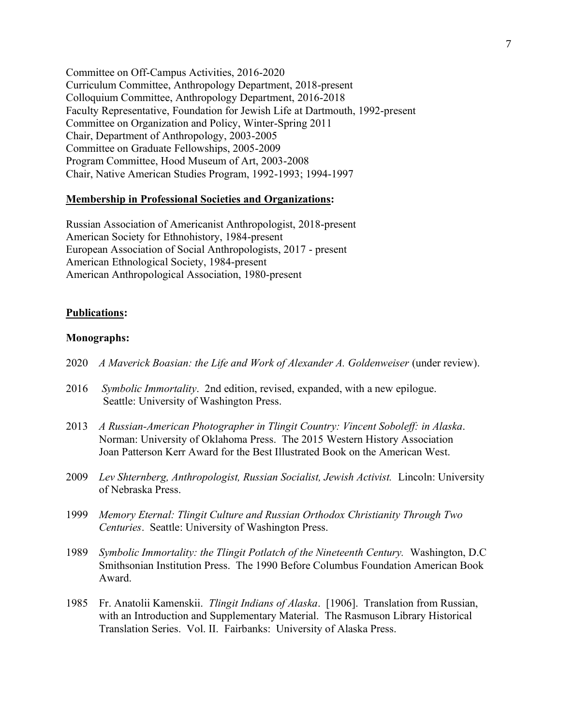Committee on Off-Campus Activities, 2016-2020 Curriculum Committee, Anthropology Department, 2018-present Colloquium Committee, Anthropology Department, 2016-2018 Faculty Representative, Foundation for Jewish Life at Dartmouth, 1992-present Committee on Organization and Policy, Winter-Spring 2011 Chair, Department of Anthropology, 2003-2005 Committee on Graduate Fellowships, 2005-2009 Program Committee, Hood Museum of Art, 2003-2008 Chair, Native American Studies Program, 1992-1993; 1994-1997

## **Membership in Professional Societies and Organizations:**

Russian Association of Americanist Anthropologist, 2018-present American Society for Ethnohistory, 1984-present European Association of Social Anthropologists, 2017 - present American Ethnological Society, 1984-present American Anthropological Association, 1980-present

#### **Publications:**

## **Monographs:**

- 2020 *A Maverick Boasian: the Life and Work of Alexander A. Goldenweiser* (under review).
- 2016 *Symbolic Immortality*. 2nd edition, revised, expanded, with a new epilogue. Seattle: University of Washington Press.
- 2013 *A Russian-American Photographer in Tlingit Country: Vincent Soboleff: in Alaska*. Norman: University of Oklahoma Press. The 2015 Western History Association Joan Patterson Kerr Award for the Best Illustrated Book on the American West.
- 2009 *Lev Shternberg, Anthropologist, Russian Socialist, Jewish Activist.* Lincoln: University of Nebraska Press.
- 1999 *Memory Eternal: Tlingit Culture and Russian Orthodox Christianity Through Two Centuries*. Seattle: University of Washington Press.
- 1989 *Symbolic Immortality: the Tlingit Potlatch of the Nineteenth Century.* Washington, D.C Smithsonian Institution Press. The 1990 Before Columbus Foundation American Book Award.
- 1985 Fr. Anatolii Kamenskii. *Tlingit Indians of Alaska*. [1906]. Translation from Russian, with an Introduction and Supplementary Material. The Rasmuson Library Historical Translation Series. Vol. II. Fairbanks: University of Alaska Press.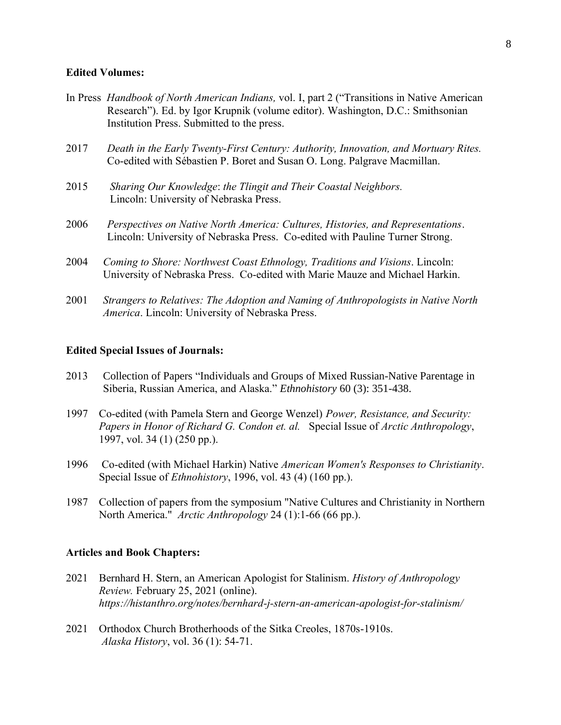## **Edited Volumes:**

- In Press *Handbook of North American Indians,* vol. I, part 2 ("Transitions in Native American Research"). Ed. by Igor Krupnik (volume editor). Washington, D.C.: Smithsonian Institution Press. Submitted to the press.
- 2017 *Death in the Early Twenty-First Century: Authority, Innovation, and Mortuary Rites.*  Co-edited with Sébastien P. Boret and Susan O. Long. Palgrave Macmillan.
- 2015 *Sharing Our Knowledge*: *the Tlingit and Their Coastal Neighbors.* Lincoln: University of Nebraska Press.
- 2006 *Perspectives on Native North America: Cultures, Histories, and Representations*. Lincoln: University of Nebraska Press. Co-edited with Pauline Turner Strong.
- 2004 *Coming to Shore: Northwest Coast Ethnology, Traditions and Visions*. Lincoln: University of Nebraska Press. Co-edited with Marie Mauze and Michael Harkin.
- 2001 *Strangers to Relatives: The Adoption and Naming of Anthropologists in Native North America*. Lincoln: University of Nebraska Press.

#### **Edited Special Issues of Journals:**

- 2013 Collection of Papers "Individuals and Groups of Mixed Russian-Native Parentage in Siberia, Russian America, and Alaska." *Ethnohistory* 60 (3): 351-438.
- 1997 Co-edited (with Pamela Stern and George Wenzel) *Power, Resistance, and Security: Papers in Honor of Richard G. Condon et. al.* Special Issue of *Arctic Anthropology*, 1997, vol. 34 (1) (250 pp.).
- 1996 Co-edited (with Michael Harkin) Native *American Women's Responses to Christianity*. Special Issue of *Ethnohistory*, 1996, vol. 43 (4) (160 pp.).
- 1987 Collection of papers from the symposium "Native Cultures and Christianity in Northern North America." *Arctic Anthropology* 24 (1):1-66 (66 pp.).

#### **Articles and Book Chapters:**

- 2021 Bernhard H. Stern, an American Apologist for Stalinism. *History of Anthropology Review.* February 25, 2021 (online). *https://histanthro.org/notes/bernhard-j-stern-an-american-apologist-for-stalinism/*
- 2021 Orthodox Church Brotherhoods of the Sitka Creoles, 1870s-1910s. *Alaska History*, vol. 36 (1): 54-71.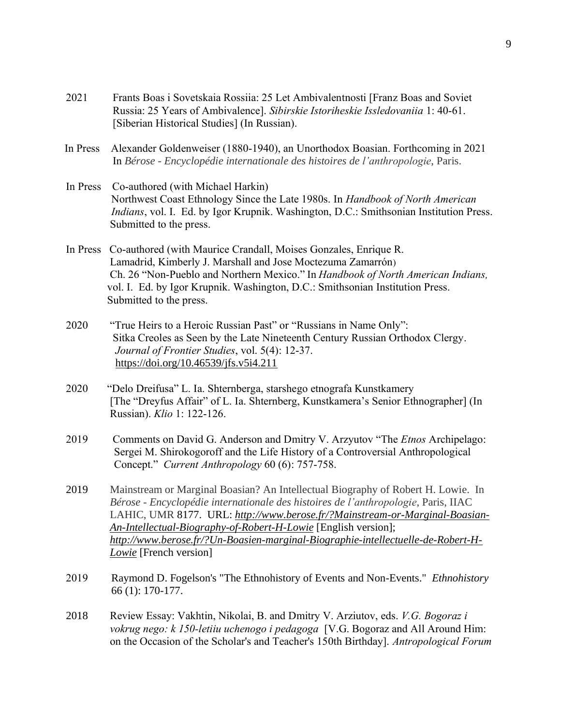- 2021 Frants Boas i Sovetskaia Rossiia: 25 Let Ambivalentnosti [Franz Boas and Soviet Russia: 25 Years of Ambivalence]. *Sibirskie Istoriheskie Issledovaniia* 1: 40-61. [Siberian Historical Studies] (In Russian).
- In Press Alexander Goldenweiser (1880-1940), an Unorthodox Boasian. Forthcoming in 2021 In *Bérose - Encyclopédie internationale des histoires de l'anthropologie*, Paris.
- In Press Co-authored (with Michael Harkin) Northwest Coast Ethnology Since the Late 1980s. In *Handbook of North American Indians*, vol. I. Ed. by Igor Krupnik. Washington, D.C.: Smithsonian Institution Press. Submitted to the press.
- In Press Co-authored (with Maurice Crandall, Moises Gonzales, Enrique R. Lamadrid, Kimberly J. Marshall and Jose Moctezuma Zamarrón) Ch. 26 "Non-Pueblo and Northern Mexico." In *Handbook of North American Indians,*  vol. I. Ed. by Igor Krupnik. Washington, D.C.: Smithsonian Institution Press. Submitted to the press.
- 2020 "True Heirs to a Heroic Russian Past" or "Russians in Name Only": Sitka Creoles as Seen by the Late Nineteenth Century Russian Orthodox Clergy. *Journal of Frontier Studies*, vol. 5(4): 12-37. <https://doi.org/10.46539/jfs.v5i4.211>
- 2020 "Delo Dreifusa" L. Ia. Shternberga, starshego etnografa Kunstkamery [The "Dreyfus Affair" of L. Ia. Shternberg, Kunstkamera's Senior Ethnographer] (In Russian). *Klio* 1: 122-126.
- 2019 Comments on David G. Anderson and Dmitry V. Arzyutov "The *Etnos* Archipelago: Sergei M. Shirokogoroff and the Life History of a Controversial Anthropological Concept." *Current Anthropology* 60 (6): 757-758.
- 2019 Mainstream or Marginal Boasian? An Intellectual Biography of Robert H. Lowie. In *Bérose - Encyclopédie internationale des histoires de l'anthropologie*, Paris, IIAC LAHIC, UMR 8177. URL: *[http://www.berose.fr/?Mainstream-or-Marginal-Boasian-](http://www.berose.fr/?Mainstream-or-Marginal-Boasian-An-Intellectual-Biography-of-Robert-H-Lowie)[An-Intellectual-Biography-of-Robert-H-Lowie](http://www.berose.fr/?Mainstream-or-Marginal-Boasian-An-Intellectual-Biography-of-Robert-H-Lowie)* [English version]; *[http://www.berose.fr/?Un-Boasien-marginal-Biographie-intellectuelle-de-Robert-H-](http://www.berose.fr/?Un-Boasien-marginal-Biographie-intellectuelle-de-Robert-H-Lowie)[Lowie](http://www.berose.fr/?Un-Boasien-marginal-Biographie-intellectuelle-de-Robert-H-Lowie)* [French version]
- 2019 Raymond D. Fogelson's "The Ethnohistory of Events and Non-Events." *Ethnohistory*  66 (1): 170-177.
- 2018 Review Essay: Vakhtin, Nikolai, B. and Dmitry V. Arziutov, eds. *V.G. Bogoraz i vokrug nego: k 150-letiiu uchenogo i pedagoga* [V.G. Bogoraz and All Around Him: on the Occasion of the Scholar's and Teacher's 150th Birthday]. *Antropological Forum*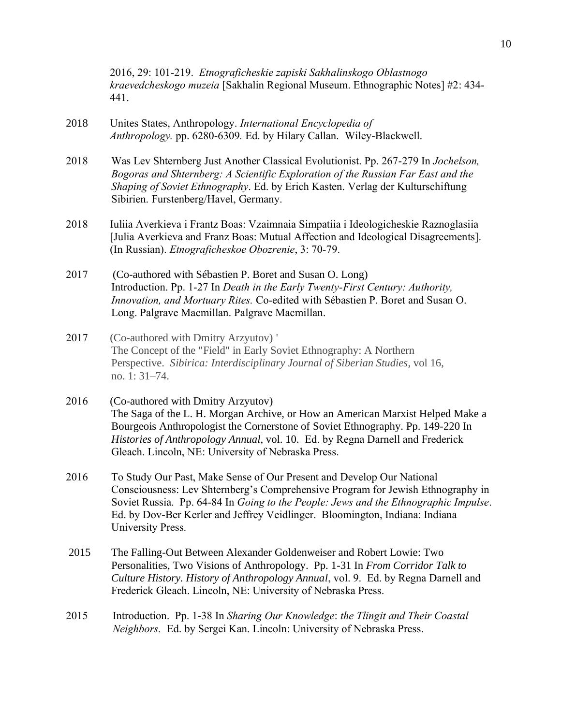2016, 29: 101-219. *Etnograficheskie zapiski Sakhalinskogo Oblastnogo kraevedcheskogo muzeia* [Sakhalin Regional Museum. Ethnographic Notes] #2: 434- 441.

- 2018 Unites States, Anthropology. *International Encyclopedia of Anthropology.* pp. 6280-6309*.* Ed. by Hilary Callan. Wiley-Blackwell.
- 2018 Was Lev Shternberg Just Another Classical Evolutionist. Pp. 267-279 In *Jochelson, Bogoras and Shternberg: A Scientific Exploration of the Russian Far East and the Shaping of Soviet Ethnography*. Ed. by Erich Kasten. Verlag der Kulturschiftung Sibirien. Furstenberg/Havel, Germany.
- 2018 Iuliia Averkieva i Frantz Boas: Vzaimnaia Simpatiia i Ideologicheskie Raznoglasiia [Julia Averkieva and Franz Boas: Mutual Affection and Ideological Disagreements]. (In Russian). *Etnograficheskoe Obozrenie*, 3: 70-79.
- 2017 (Co-authored with Sébastien P. Boret and Susan O. Long) Introduction. Pp. 1-27 In *Death in the Early Twenty-First Century: Authority, Innovation, and Mortuary Rites.* Co-edited with Sébastien P. Boret and Susan O. Long. Palgrave Macmillan. Palgrave Macmillan.
- 2017 (Co-authored with Dmitry Arzyutov) ' The Concept of the "Field" in Early Soviet Ethnography: A Northern Perspective. *Sibirica: Interdisciplinary Journal of Siberian Studies*, vol 16, no. 1: 31–74.
- 2016 (Co-authored with Dmitry Arzyutov) The Saga of the L. H. Morgan Archive, or How an American Marxist Helped Make a Bourgeois Anthropologist the Cornerstone of Soviet Ethnography. Pp. 149-220 In *Histories of Anthropology Annual*, vol. 10. Ed. by Regna Darnell and Frederick Gleach. Lincoln, NE: University of Nebraska Press.
- 2016 To Study Our Past, Make Sense of Our Present and Develop Our National Consciousness: Lev Shternberg's Comprehensive Program for Jewish Ethnography in Soviet Russia. Pp. 64-84 In *Going to the People: Jews and the Ethnographic Impulse*. Ed. by Dov-Ber Kerler and Jeffrey Veidlinger. Bloomington, Indiana: Indiana University Press.
- 2015 The Falling-Out Between Alexander Goldenweiser and Robert Lowie: Two Personalities, Two Visions of Anthropology. Pp. 1-31 In *From Corridor Talk to Culture History. History of Anthropology Annual*, vol. 9. Ed. by Regna Darnell and Frederick Gleach. Lincoln, NE: University of Nebraska Press.
- 2015 Introduction. Pp. 1-38 In *Sharing Our Knowledge*: *the Tlingit and Their Coastal Neighbors.* Ed. by Sergei Kan. Lincoln: University of Nebraska Press.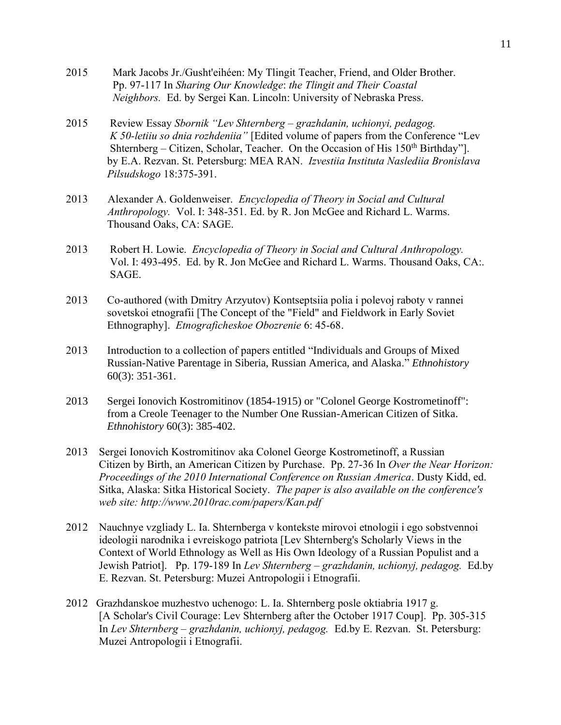- 2015 Mark Jacobs Jr./Gusht'eihéen: My Tlingit Teacher, Friend, and Older Brother. Pp. 97-117 In *Sharing Our Knowledge*: *the Tlingit and Their Coastal Neighbors.* Ed. by Sergei Kan. Lincoln: University of Nebraska Press.
- 2015 Review Essay *Sbornik "Lev Shternberg – grazhdanin, uchionyi, pedagog. K 50-letiiu so dnia rozhdeniia"* [Edited volume of papers from the Conference "Lev Shternberg – Citizen, Scholar, Teacher. On the Occasion of His  $150<sup>th</sup>$  Birthday"]. by E.A. Rezvan. St. Petersburg: MEA RAN. *Izvestiia Instituta Naslediia Bronislava Pilsudskogo* 18:375-391.
- 2013 Alexander A. Goldenweiser. *Encyclopedia of Theory in Social and Cultural Anthropology.* Vol. I: 348-351. Ed. by R. Jon McGee and Richard L. Warms. Thousand Oaks, CA: SAGE.
- 2013 Robert H. Lowie. *Encyclopedia of Theory in Social and Cultural Anthropology.* Vol. I: 493-495. Ed. by R. Jon McGee and Richard L. Warms. Thousand Oaks, CA:. SAGE.
- 2013 Co-authored (with Dmitry Arzyutov) Kontseptsiia polia i polevoj raboty v rannei sovetskoi etnografii [The Concept of the "Field" and Fieldwork in Early Soviet Ethnography]. *Etnograficheskoe Obozrenie* 6: 45-68.
- 2013 Introduction to a collection of papers entitled "Individuals and Groups of Mixed Russian-Native Parentage in Siberia, Russian America, and Alaska." *Ethnohistory* 60(3): 351-361.
- 2013 Sergei Ionovich Kostromitinov (1854-1915) or "Colonel George Kostrometinoff": from a Creole Teenager to the Number One Russian-American Citizen of Sitka. *Ethnohistory* 60(3): 385-402.
- 2013 Sergei Ionovich Kostromitinov aka Colonel George Kostrometinoff, a Russian Citizen by Birth, an American Citizen by Purchase. Pp. 27-36 In *Over the Near Horizon: Proceedings of the 2010 International Conference on Russian America*. Dusty Kidd, ed. Sitka, Alaska: Sitka Historical Society. *The paper is also available on the conference's web site: http://www.2010rac.com/papers/Kan.pdf*
- 2012 Nauchnye vzgliady L. Ia. Shternberga v kontekste mirovoi etnologii i ego sobstvennoi ideologii narodnika i evreiskogo patriota [Lev Shternberg's Scholarly Views in the Context of World Ethnology as Well as His Own Ideology of a Russian Populist and a Jewish Patriot]. Pp. 179-189 In *Lev Shternberg – grazhdanin, uchionyj, pedagog.* Ed.by E. Rezvan. St. Petersburg: Muzei Antropologii i Etnografii.
- 2012 Grazhdanskoe muzhestvo uchenogo: L. Ia. Shternberg posle oktiabria 1917 g. [A Scholar's Civil Courage: Lev Shternberg after the October 1917 Coup]. Pp. 305-315 In *Lev Shternberg – grazhdanin, uchionyj, pedagog.* Ed.by E. Rezvan. St. Petersburg: Muzei Antropologii i Etnografii.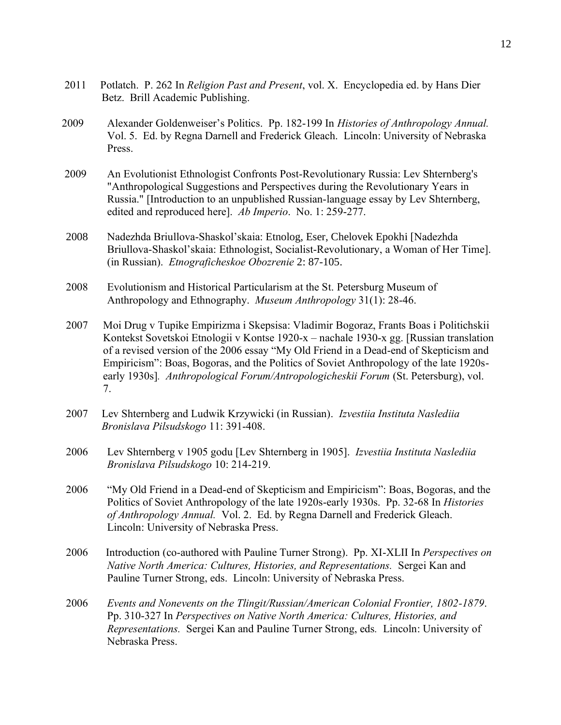- 2011 Potlatch. P. 262 In *Religion Past and Present*, vol. X. Encyclopedia ed. by Hans Dier Betz. Brill Academic Publishing.
- 2009 Alexander Goldenweiser's Politics. Pp. 182-199 In *Histories of Anthropology Annual.* Vol. 5. Ed. by Regna Darnell and Frederick Gleach. Lincoln: University of Nebraska Press.
- 2009 An Evolutionist Ethnologist Confronts Post-Revolutionary Russia: Lev Shternberg's "Anthropological Suggestions and Perspectives during the Revolutionary Years in Russia." [Introduction to an unpublished Russian-language essay by Lev Shternberg, edited and reproduced here]. *Ab Imperio*. No. 1: 259-277.
- 2008 Nadezhda Briullova-Shaskol'skaia: Etnolog, Eser, Chelovek Epokhi [Nadezhda Briullova-Shaskol'skaia: Ethnologist, Socialist-Revolutionary, a Woman of Her Time]. (in Russian). *Etnograficheskoe Obozrenie* 2: 87-105.
- 2008 Evolutionism and Historical Particularism at the St. Petersburg Museum of Anthropology and Ethnography. *Museum Anthropology* 31(1): 28-46.
- 2007 Moi Drug v Tupike Empirizma i Skepsisa: Vladimir Bogoraz, Frants Boas i Politichskii Kontekst Sovetskoi Etnologii v Kontse 1920-x – nachale 1930-x gg. [Russian translation of a revised version of the 2006 essay "My Old Friend in a Dead-end of Skepticism and Empiricism": Boas, Bogoras, and the Politics of Soviet Anthropology of the late 1920searly 1930s]*. Anthropological Forum/Antropologicheskii Forum* (St. Petersburg), vol. 7.
- 2007 Lev Shternberg and Ludwik Krzywicki (in Russian). *Izvestiia Instituta Naslediia Bronislava Pilsudskogo* 11: 391-408.
- 2006 Lev Shternberg v 1905 godu [Lev Shternberg in 1905]. *Izvestiia Instituta Naslediia Bronislava Pilsudskogo* 10: 214-219.
- 2006 "My Old Friend in a Dead-end of Skepticism and Empiricism": Boas, Bogoras, and the Politics of Soviet Anthropology of the late 1920s-early 1930s. Pp. 32-68 In *Histories of Anthropology Annual.* Vol. 2. Ed. by Regna Darnell and Frederick Gleach. Lincoln: University of Nebraska Press.
- 2006 Introduction (co-authored with Pauline Turner Strong). Pp. XI-XLII In *Perspectives on Native North America: Cultures, Histories, and Representations.* Sergei Kan and Pauline Turner Strong, eds. Lincoln: University of Nebraska Press.
- 2006 *Events and Nonevents on the Tlingit/Russian/American Colonial Frontier, 1802-1879*. Pp. 310-327 In *Perspectives on Native North America: Cultures, Histories, and Representations.* Sergei Kan and Pauline Turner Strong, eds*.* Lincoln: University of Nebraska Press.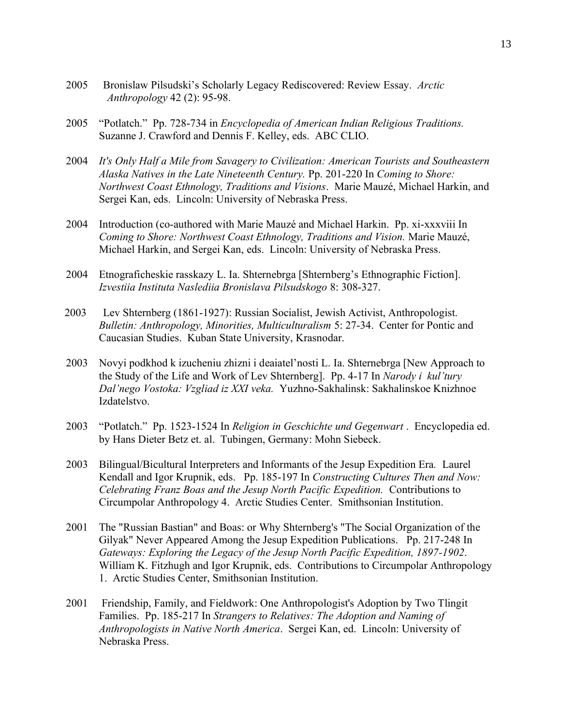- 2005 Bronislaw Pilsudski's Scholarly Legacy Rediscovered: Review Essay. *Arctic Anthropology* 42 (2): 95-98.
- 2005 "Potlatch." Pp. 728-734 in *Encyclopedia of American Indian Religious Traditions.* Suzanne J. Crawford and Dennis F. Kelley, eds. ABC CLIO.
- 2004 *It's Only Half a Mile from Savagery to Civilization: American Tourists and Southeastern Alaska Natives in the Late Nineteenth Century.* Pp. 201-220 In *Coming to Shore: Northwest Coast Ethnology, Traditions and Visions*. Marie Mauzé, Michael Harkin, and Sergei Kan, eds. Lincoln: University of Nebraska Press.
- 2004 Introduction (co-authored with Marie Mauzé and Michael Harkin. Pp. xi-xxxviii In *Coming to Shore: Northwest Coast Ethnology, Traditions and Vision.* Marie Mauzé, Michael Harkin, and Sergei Kan, eds. Lincoln: University of Nebraska Press.
- 2004 Etnograficheskie rasskazy L. Ia. Shternebrga [Shternberg's Ethnographic Fiction]. *Izvestiia Instituta Naslediia Bronislava Pilsudskogo* 8: 308-327.
- 2003 Lev Shternberg (1861-1927): Russian Socialist, Jewish Activist, Anthropologist. *Bulletin: Anthropology, Minorities, Multiculturalism* 5: 27-34. Center for Pontic and Caucasian Studies. Kuban State University, Krasnodar.
- 2003 Novyi podkhod k izucheniu zhizni i deaiatel'nosti L. Ia. Shternebrga [New Approach to the Study of the Life and Work of Lev Shternberg]. Pp. 4-17 In *Narody i kul'tury Dal'nego Vostoka: Vzgliad iz XXI veka.* Yuzhno-Sakhalinsk: Sakhalinskoe Knizhnoe Izdatelstvo.
- 2003 "Potlatch." Pp. 1523-1524 In *Religion in Geschichte und Gegenwart* . Encyclopedia ed. by Hans Dieter Betz et. al. Tubingen, Germany: Mohn Siebeck.
- 2003 Bilingual/Bicultural Interpreters and Informants of the Jesup Expedition Era*.* Laurel Kendall and Igor Krupnik, eds. Pp. 185-197 In *Constructing Cultures Then and Now: Celebrating Franz Boas and the Jesup North Pacific Expedition.* Contributions to Circumpolar Anthropology 4. Arctic Studies Center. Smithsonian Institution.
- 2001 The "Russian Bastian" and Boas: or Why Shternberg's "The Social Organization of the Gilyak" Never Appeared Among the Jesup Expedition Publications. Pp. 217-248 In *Gateways: Exploring the Legacy of the Jesup North Pacific Expedition, 1897-1902*. William K. Fitzhugh and Igor Krupnik, eds. Contributions to Circumpolar Anthropology 1. Arctic Studies Center, Smithsonian Institution.
- 2001 Friendship, Family, and Fieldwork: One Anthropologist's Adoption by Two Tlingit Families. Pp. 185-217 In *Strangers to Relatives: The Adoption and Naming of Anthropologists in Native North America*. Sergei Kan, ed. Lincoln: University of Nebraska Press.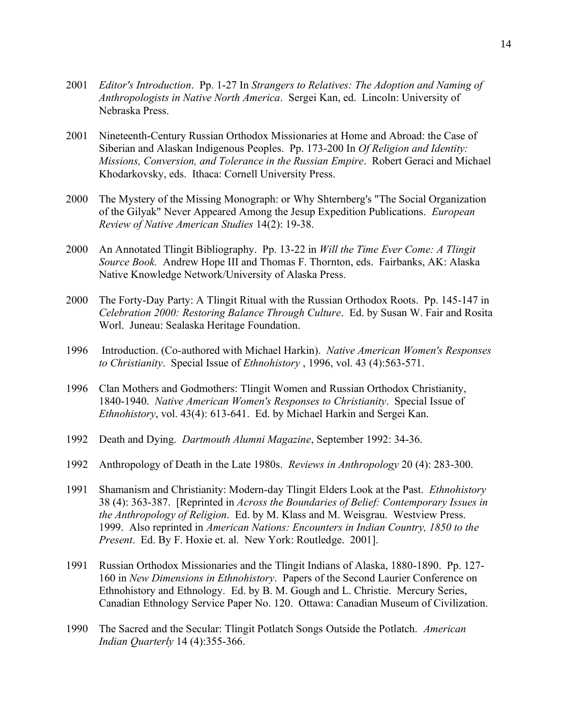- 2001 *Editor's Introduction*. Pp. 1-27 In *Strangers to Relatives: The Adoption and Naming of Anthropologists in Native North America*. Sergei Kan, ed. Lincoln: University of Nebraska Press.
- 2001 Nineteenth-Century Russian Orthodox Missionaries at Home and Abroad: the Case of Siberian and Alaskan Indigenous Peoples. Pp. 173-200 In *Of Religion and Identity: Missions, Conversion, and Tolerance in the Russian Empire*. Robert Geraci and Michael Khodarkovsky, eds. Ithaca: Cornell University Press.
- 2000 The Mystery of the Missing Monograph: or Why Shternberg's "The Social Organization of the Gilyak" Never Appeared Among the Jesup Expedition Publications. *European Review of Native American Studies* 14(2): 19-38.
- 2000 An Annotated Tlingit Bibliography. Pp. 13-22 in *Will the Time Ever Come: A Tlingit Source Book.* Andrew Hope III and Thomas F. Thornton, eds. Fairbanks, AK: Alaska Native Knowledge Network/University of Alaska Press.
- 2000 The Forty-Day Party: A Tlingit Ritual with the Russian Orthodox Roots. Pp. 145-147 in *Celebration 2000: Restoring Balance Through Culture*. Ed. by Susan W. Fair and Rosita Worl. Juneau: Sealaska Heritage Foundation.
- 1996 Introduction. (Co-authored with Michael Harkin). *Native American Women's Responses to Christianity*. Special Issue of *Ethnohistory* , 1996, vol. 43 (4):563-571.
- 1996 Clan Mothers and Godmothers: Tlingit Women and Russian Orthodox Christianity, 1840-1940. *Native American Women's Responses to Christianity*. Special Issue of *Ethnohistory*, vol. 43(4): 613-641. Ed. by Michael Harkin and Sergei Kan.
- 1992 Death and Dying. *Dartmouth Alumni Magazine*, September 1992: 34-36.
- 1992 Anthropology of Death in the Late 1980s. *Reviews in Anthropology* 20 (4): 283-300.
- 1991 Shamanism and Christianity: Modern-day Tlingit Elders Look at the Past. *Ethnohistory*  38 (4): 363-387. [Reprinted in *Across the Boundaries of Belief: Contemporary Issues in the Anthropology of Religion*. Ed. by M. Klass and M. Weisgrau. Westview Press. 1999. Also reprinted in *American Nations: Encounters in Indian Country, 1850 to the Present*. Ed. By F. Hoxie et. al. New York: Routledge. 2001].
- 1991 Russian Orthodox Missionaries and the Tlingit Indians of Alaska, 1880-1890. Pp. 127- 160 in *New Dimensions in Ethnohistory*. Papers of the Second Laurier Conference on Ethnohistory and Ethnology. Ed. by B. M. Gough and L. Christie. Mercury Series, Canadian Ethnology Service Paper No. 120. Ottawa: Canadian Museum of Civilization.
- 1990 The Sacred and the Secular: Tlingit Potlatch Songs Outside the Potlatch. *American Indian Quarterly* 14 (4):355-366.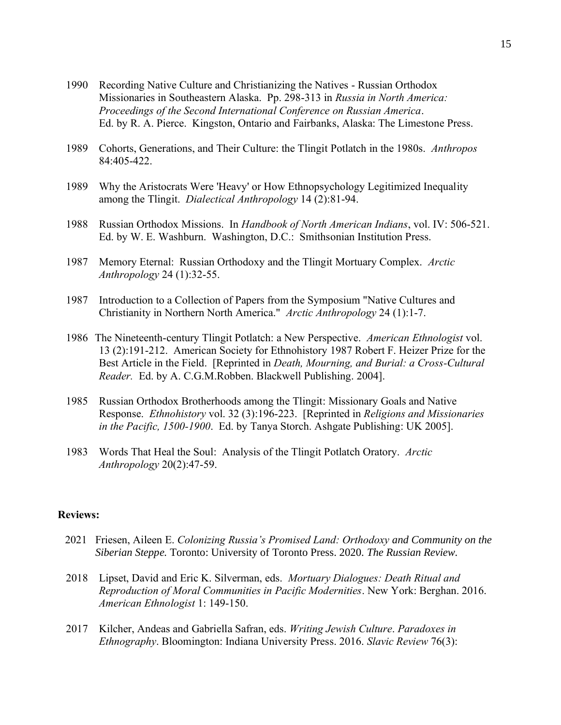- 1990 Recording Native Culture and Christianizing the Natives Russian Orthodox Missionaries in Southeastern Alaska. Pp. 298-313 in *Russia in North America: Proceedings of the Second International Conference on Russian America*. Ed. by R. A. Pierce. Kingston, Ontario and Fairbanks, Alaska: The Limestone Press.
- 1989 Cohorts, Generations, and Their Culture: the Tlingit Potlatch in the 1980s. *Anthropos* 84:405-422.
- 1989 Why the Aristocrats Were 'Heavy' or How Ethnopsychology Legitimized Inequality among the Tlingit. *Dialectical Anthropology* 14 (2):81-94.
- 1988 Russian Orthodox Missions. In *Handbook of North American Indians*, vol. IV: 506-521. Ed. by W. E. Washburn. Washington, D.C.: Smithsonian Institution Press.
- 1987 Memory Eternal: Russian Orthodoxy and the Tlingit Mortuary Complex. *Arctic Anthropology* 24 (1):32-55.
- 1987 Introduction to a Collection of Papers from the Symposium "Native Cultures and Christianity in Northern North America." *Arctic Anthropology* 24 (1):1-7.
- 1986 The Nineteenth-century Tlingit Potlatch: a New Perspective. *American Ethnologist* vol. 13 (2):191-212. American Society for Ethnohistory 1987 Robert F. Heizer Prize for the Best Article in the Field. [Reprinted in *Death, Mourning, and Burial: a Cross-Cultural Reader.* Ed. by A. C.G.M.Robben. Blackwell Publishing. 2004].
- 1985 Russian Orthodox Brotherhoods among the Tlingit: Missionary Goals and Native Response. *Ethnohistory* vol. 32 (3):196-223. [Reprinted in *Religions and Missionaries in the Pacific, 1500-1900*. Ed. by Tanya Storch. Ashgate Publishing: UK 2005].
- 1983 Words That Heal the Soul: Analysis of the Tlingit Potlatch Oratory. *Arctic Anthropology* 20(2):47-59.

## **Reviews:**

- 2021 Friesen, Aileen E. *Colonizing Russia's Promised Land: Orthodoxy and Community on the Siberian Steppe.* Toronto: University of Toronto Press. 2020. *The Russian Review.*
- 2018 Lipset, David and Eric K. Silverman, eds. *Mortuary Dialogues: Death Ritual and Reproduction of Moral Communities in Pacific Modernities*. New York: Berghan. 2016. *American Ethnologist* 1: 149-150.
- 2017 Kilcher, Andeas and Gabriella Safran, eds. *Writing Jewish Culture*. *Paradoxes in Ethnography*. Bloomington: Indiana University Press. 2016. *Slavic Review* 76(3):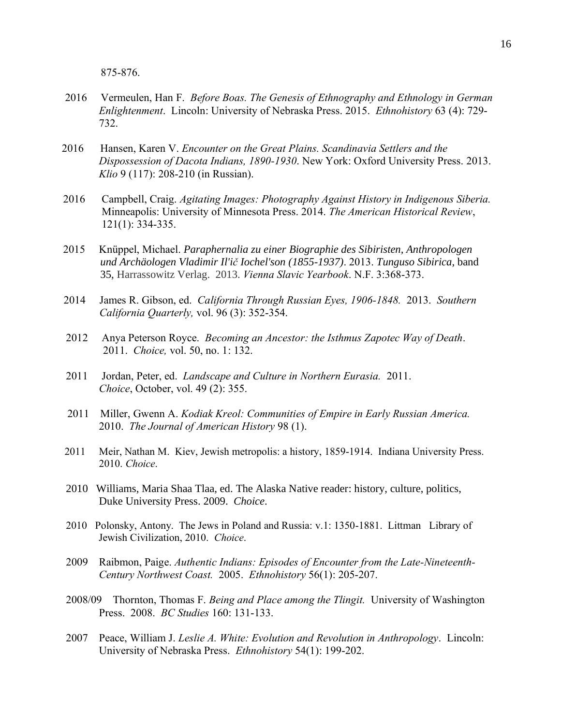875-876.

- 2016 Vermeulen, Han F. *Before Boas. The Genesis of Ethnography and Ethnology in German*  *Enlightenment*. Lincoln: University of Nebraska Press. 2015. *Ethnohistory* 63 (4): 729- 732.
- 2016 Hansen, Karen V. *Encounter on the Great Plains. Scandinavia Settlers and the Dispossession of Dacota Indians, 1890-1930*. New York: Oxford University Press. 2013. *Klio* 9 (117): 208-210 (in Russian).
- 2016 Campbell, Craig. *Agitating Images: Photography Against History in Indigenous Siberia.*  Minneapolis: University of Minnesota Press. 2014. *The American Historical Review*, 121(1): 334-335.
- 2015 Knüppel, Michael. *Paraphernalia zu einer Biographie des Sibiristen, Anthropologen und Archäologen Vladimir Il'ič Iochel'son (1855-1937)*. 2013. *Tunguso Sibirica*, band 35, Harrassowitz Verlag. 2013. *Vienna Slavic Yearbook*. N.F. 3:368-373.
- 2014 James R. Gibson, ed. *California Through Russian Eyes, 1906-1848.* 2013. *Southern California Quarterly,* vol. 96 (3): 352-354.
- 2012 Anya Peterson Royce. *Becoming an Ancestor: the Isthmus Zapotec Way of Death*. 2011. *Choice,* vol. 50, no. 1: 132.
- 2011 Jordan, Peter, ed. *Landscape and Culture in Northern Eurasia.* 2011. *Choice*, October, vol. 49 (2): 355.
- 2011 Miller, Gwenn A. *Kodiak Kreol: Communities of Empire in Early Russian America.* 2010. *The Journal of American History* 98 (1).
- 2011 Meir, Nathan M. Kiev, Jewish metropolis: a history, 1859-1914. Indiana University Press. 2010. *Choice*.
- 2010 Williams, Maria Shaa Tlaa, ed. The Alaska Native reader: history, culture, politics, Duke University Press. 2009. *Choice*.
- 2010 Polonsky, Antony. The Jews in Poland and Russia: v.1: 1350-1881. Littman Library of Jewish Civilization, 2010. *Choice*.
- 2009 Raibmon, Paige. *Authentic Indians: Episodes of Encounter from the Late-Nineteenth-Century Northwest Coast.* 2005. *Ethnohistory* 56(1): 205-207.
- 2008/09 Thornton, Thomas F. *Being and Place among the Tlingit.* University of Washington Press. 2008. *BC Studies* 160: 131-133.
- 2007 Peace, William J. *Leslie A. White: Evolution and Revolution in Anthropology*. Lincoln: University of Nebraska Press. *Ethnohistory* 54(1): 199-202.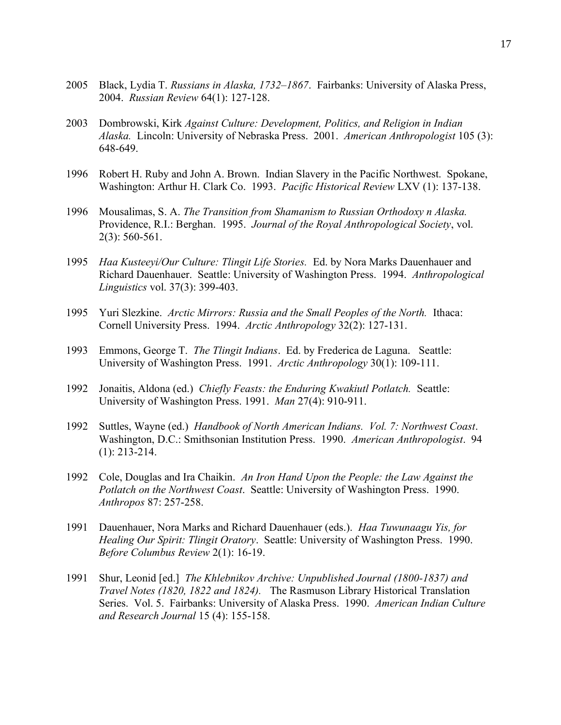- 2005 Black, Lydia T. *Russians in Alaska, 1732–1867*. Fairbanks: University of Alaska Press, 2004. *Russian Review* 64(1): 127-128.
- 2003 Dombrowski, Kirk *Against Culture: Development, Politics, and Religion in Indian Alaska.* Lincoln: University of Nebraska Press. 2001. *American Anthropologist* 105 (3): 648-649.
- 1996 Robert H. Ruby and John A. Brown. Indian Slavery in the Pacific Northwest. Spokane, Washington: Arthur H. Clark Co. 1993. *Pacific Historical Review* LXV (1): 137-138.
- 1996 Mousalimas, S. A. *The Transition from Shamanism to Russian Orthodoxy n Alaska.*  Providence, R.I.: Berghan. 1995. *Journal of the Royal Anthropological Society*, vol. 2(3): 560-561.
- 1995 *Haa Kusteeyi/Our Culture: Tlingit Life Stories.* Ed. by Nora Marks Dauenhauer and Richard Dauenhauer. Seattle: University of Washington Press. 1994. *Anthropological Linguistics* vol. 37(3): 399-403.
- 1995 Yuri Slezkine. *Arctic Mirrors: Russia and the Small Peoples of the North.* Ithaca: Cornell University Press. 1994. *Arctic Anthropology* 32(2): 127-131.
- 1993 Emmons, George T. *The Tlingit Indians*. Ed. by Frederica de Laguna. Seattle: University of Washington Press. 1991. *Arctic Anthropology* 30(1): 109-111.
- 1992 Jonaitis, Aldona (ed.) *Chiefly Feasts: the Enduring Kwakiutl Potlatch.* Seattle: University of Washington Press. 1991. *Man* 27(4): 910-911.
- 1992 Suttles, Wayne (ed.) *Handbook of North American Indians. Vol. 7: Northwest Coast*. Washington, D.C.: Smithsonian Institution Press. 1990. *American Anthropologist*. 94 (1): 213-214.
- 1992 Cole, Douglas and Ira Chaikin. *An Iron Hand Upon the People: the Law Against the Potlatch on the Northwest Coast*. Seattle: University of Washington Press. 1990. *Anthropos* 87: 257-258.
- 1991 Dauenhauer, Nora Marks and Richard Dauenhauer (eds.). *Haa Tuwunaagu Yis, for Healing Our Spirit: Tlingit Oratory*. Seattle: University of Washington Press. 1990. *Before Columbus Review* 2(1): 16-19.
- 1991 Shur, Leonid [ed.] *The Khlebnikov Archive: Unpublished Journal (1800-1837) and Travel Notes (1820, 1822 and 1824).* The Rasmuson Library Historical Translation Series. Vol. 5. Fairbanks: University of Alaska Press. 1990. *American Indian Culture and Research Journal* 15 (4): 155-158.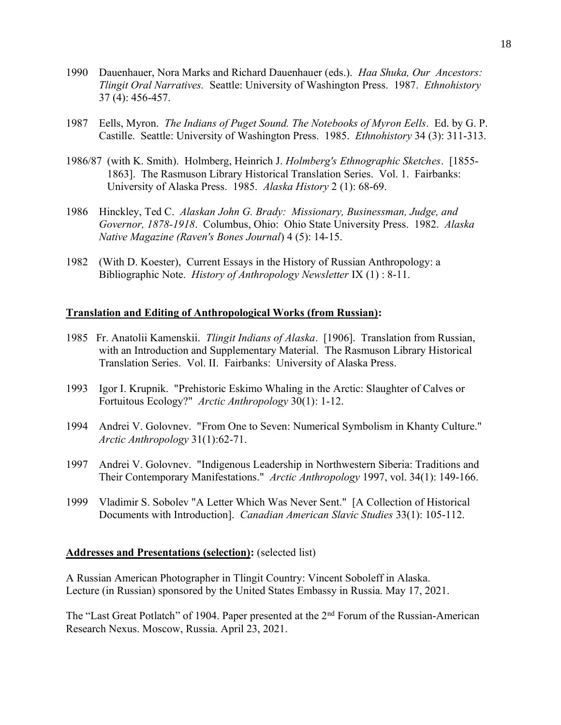- 1990 Dauenhauer, Nora Marks and Richard Dauenhauer (eds.). *Haa Shuka, Our Ancestors: Tlingit Oral Narratives.* Seattle: University of Washington Press. 1987. *Ethnohistory* 37 (4): 456-457.
- 1987 Eells, Myron. *The Indians of Puget Sound. The Notebooks of Myron Eells*. Ed. by G. P. Castille. Seattle: University of Washington Press. 1985. *Ethnohistory* 34 (3): 311-313.
- 1986/87 (with K. Smith). Holmberg, Heinrich J. *Holmberg's Ethnographic Sketches*. [1855- 1863]. The Rasmuson Library Historical Translation Series. Vol. 1. Fairbanks: University of Alaska Press. 1985. *Alaska History* 2 (1): 68-69.
- 1986 Hinckley, Ted C. *Alaskan John G. Brady: Missionary, Businessman, Judge, and Governor, 1878-1918*. Columbus, Ohio: Ohio State University Press. 1982. *Alaska Native Magazine (Raven's Bones Journal*) 4 (5): 14-15.
- 1982 (With D. Koester), Current Essays in the History of Russian Anthropology: a Bibliographic Note. *History of Anthropology Newsletter* IX (1) : 8-11.

### **Translation and Editing of Anthropological Works (from Russian):**

- 1985 Fr. Anatolii Kamenskii. *Tlingit Indians of Alaska*. [1906]. Translation from Russian, with an Introduction and Supplementary Material. The Rasmuson Library Historical Translation Series. Vol. II. Fairbanks: University of Alaska Press.
- 1993 Igor I. Krupnik. "Prehistoric Eskimo Whaling in the Arctic: Slaughter of Calves or Fortuitous Ecology?" *Arctic Anthropology* 30(1): 1-12.
- 1994 Andrei V. Golovnev. "From One to Seven: Numerical Symbolism in Khanty Culture." *Arctic Anthropology* 31(1):62-71.
- 1997 Andrei V. Golovnev. "Indigenous Leadership in Northwestern Siberia: Traditions and Their Contemporary Manifestations." *Arctic Anthropology* 1997, vol. 34(1): 149-166.
- 1999 Vladimir S. Sobolev "A Letter Which Was Never Sent." [A Collection of Historical Documents with Introduction]. *Canadian American Slavic Studies* 33(1): 105-112.

#### **Addresses and Presentations (selection):** (selected list)

A Russian American Photographer in Tlingit Country: Vincent Soboleff in Alaska. Lecture (in Russian) sponsored by the United States Embassy in Russia. May 17, 2021.

The "Last Great Potlatch" of 1904. Paper presented at the 2<sup>nd</sup> Forum of the Russian-American Research Nexus. Moscow, Russia. April 23, 2021.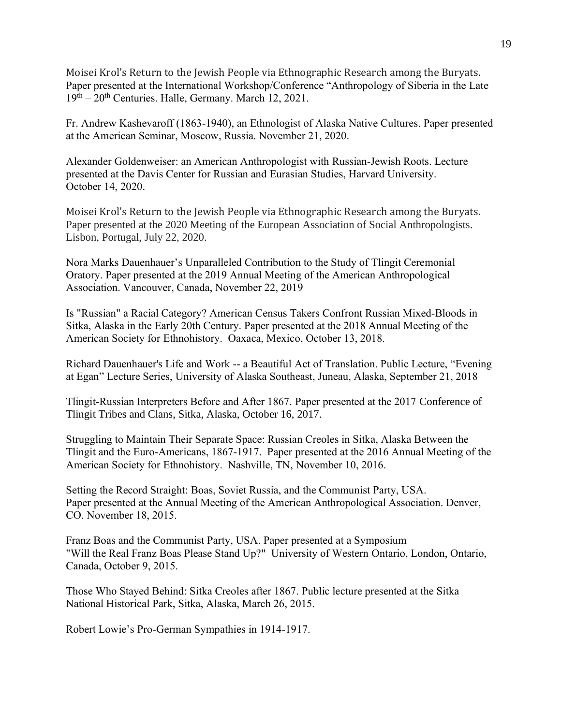Moisei Krol's Return to the Jewish People via Ethnographic Research among the Buryats. Paper presented at the International Workshop/Conference "Anthropology of Siberia in the Late  $19<sup>th</sup> - 20<sup>th</sup>$  Centuries. Halle, Germany. March 12, 2021.

Fr. Andrew Kashevaroff (1863-1940), an Ethnologist of Alaska Native Cultures. Paper presented at the American Seminar, Moscow, Russia. November 21, 2020.

Alexander Goldenweiser: an American Anthropologist with Russian-Jewish Roots. Lecture presented at the Davis Center for Russian and Eurasian Studies, Harvard University. October 14, 2020.

Moisei Krol's Return to the Jewish People via Ethnographic Research among the Buryats. Paper presented at the 2020 Meeting of the European Association of Social Anthropologists. Lisbon, Portugal, July 22, 2020.

Nora Marks Dauenhauer's Unparalleled Contribution to the Study of Tlingit Ceremonial Oratory. Paper presented at the 2019 Annual Meeting of the American Anthropological Association. Vancouver, Canada, November 22, 2019

Is "Russian" a Racial Category? American Census Takers Confront Russian Mixed-Bloods in Sitka, Alaska in the Early 20th Century. Paper presented at the 2018 Annual Meeting of the American Society for Ethnohistory. Oaxaca, Mexico, October 13, 2018.

Richard Dauenhauer's Life and Work -- a Beautiful Act of Translation. Public Lecture, "Evening at Egan" Lecture Series, University of Alaska Southeast, Juneau, Alaska, September 21, 2018

Tlingit-Russian Interpreters Before and After 1867. Paper presented at the 2017 Conference of Tlingit Tribes and Clans, Sitka, Alaska, October 16, 2017.

Struggling to Maintain Their Separate Space: Russian Creoles in Sitka, Alaska Between the Tlingit and the Euro-Americans, 1867-1917. Paper presented at the 2016 Annual Meeting of the American Society for Ethnohistory. Nashville, TN, November 10, 2016.

Setting the Record Straight: Boas, Soviet Russia, and the Communist Party, USA. Paper presented at the Annual Meeting of the American Anthropological Association. Denver, CO. November 18, 2015.

Franz Boas and the Communist Party, USA. Paper presented at a Symposium "Will the Real Franz Boas Please Stand Up?" University of Western Ontario, London, Ontario, Canada, October 9, 2015.

Those Who Stayed Behind: Sitka Creoles after 1867. Public lecture presented at the Sitka National Historical Park, Sitka, Alaska, March 26, 2015.

Robert Lowie's Pro-German Sympathies in 1914-1917.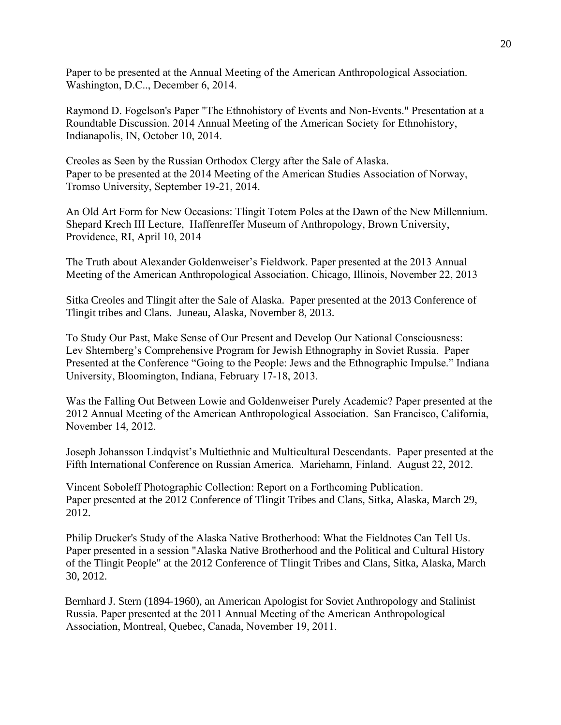Paper to be presented at the Annual Meeting of the American Anthropological Association. Washington, D.C.., December 6, 2014.

Raymond D. Fogelson's Paper "The Ethnohistory of Events and Non-Events." Presentation at a Roundtable Discussion. 2014 Annual Meeting of the American Society for Ethnohistory, Indianapolis, IN, October 10, 2014.

Creoles as Seen by the Russian Orthodox Clergy after the Sale of Alaska. Paper to be presented at the 2014 Meeting of the American Studies Association of Norway, Tromso University, September 19-21, 2014.

An Old Art Form for New Occasions: Tlingit Totem Poles at the Dawn of the New Millennium. Shepard Krech III Lecture, Haffenreffer Museum of Anthropology, Brown University, Providence, RI, April 10, 2014

The Truth about Alexander Goldenweiser's Fieldwork. Paper presented at the 2013 Annual Meeting of the American Anthropological Association. Chicago, Illinois, November 22, 2013

Sitka Creoles and Tlingit after the Sale of Alaska. Paper presented at the 2013 Conference of Tlingit tribes and Clans. Juneau, Alaska, November 8, 2013.

To Study Our Past, Make Sense of Our Present and Develop Our National Consciousness: Lev Shternberg's Comprehensive Program for Jewish Ethnography in Soviet Russia. Paper Presented at the Conference "Going to the People: Jews and the Ethnographic Impulse." Indiana University, Bloomington, Indiana, February 17-18, 2013.

Was the Falling Out Between Lowie and Goldenweiser Purely Academic? Paper presented at the 2012 Annual Meeting of the American Anthropological Association. San Francisco, California, November 14, 2012.

Joseph Johansson Lindqvist's Multiethnic and Multicultural Descendants. Paper presented at the Fifth International Conference on Russian America. Mariehamn, Finland. August 22, 2012.

Vincent Soboleff Photographic Collection: Report on a Forthcoming Publication. Paper presented at the 2012 Conference of Tlingit Tribes and Clans, Sitka, Alaska, March 29, 2012.

Philip Drucker's Study of the Alaska Native Brotherhood: What the Fieldnotes Can Tell Us. Paper presented in a session "Alaska Native Brotherhood and the Political and Cultural History of the Tlingit People" at the 2012 Conference of Tlingit Tribes and Clans, Sitka, Alaska, March 30, 2012.

Bernhard J. Stern (1894-1960), an American Apologist for Soviet Anthropology and Stalinist Russia. Paper presented at the 2011 Annual Meeting of the American Anthropological Association, Montreal, Quebec, Canada, November 19, 2011.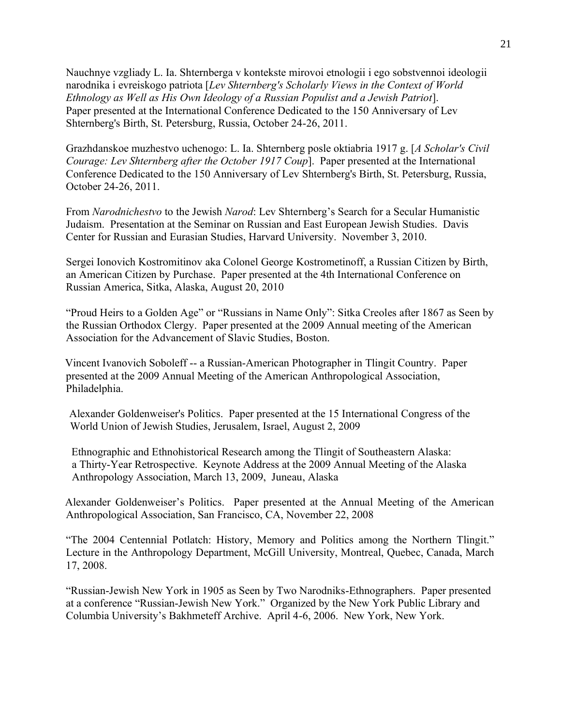Nauchnye vzgliady L. Ia. Shternberga v kontekste mirovoi etnologii i ego sobstvennoi ideologii narodnika i evreiskogo patriota [*Lev Shternberg's Scholarly Views in the Context of World Ethnology as Well as His Own Ideology of a Russian Populist and a Jewish Patriot*]. Paper presented at the International Conference Dedicated to the 150 Anniversary of Lev Shternberg's Birth, St. Petersburg, Russia, October 24-26, 2011.

Grazhdanskoe muzhestvo uchenogo: L. Ia. Shternberg posle oktiabria 1917 g. [*A Scholar's Civil Courage: Lev Shternberg after the October 1917 Coup*]. Paper presented at the International Conference Dedicated to the 150 Anniversary of Lev Shternberg's Birth, St. Petersburg, Russia, October 24-26, 2011.

From *Narodnichestvo* to the Jewish *Narod*: Lev Shternberg's Search for a Secular Humanistic Judaism. Presentation at the Seminar on Russian and East European Jewish Studies. Davis Center for Russian and Eurasian Studies, Harvard University. November 3, 2010.

Sergei Ionovich Kostromitinov aka Colonel George Kostrometinoff, a Russian Citizen by Birth, an American Citizen by Purchase. Paper presented at the 4th International Conference on Russian America, Sitka, Alaska, August 20, 2010

"Proud Heirs to a Golden Age" or "Russians in Name Only": Sitka Creoles after 1867 as Seen by the Russian Orthodox Clergy. Paper presented at the 2009 Annual meeting of the American Association for the Advancement of Slavic Studies, Boston.

Vincent Ivanovich Soboleff -- a Russian-American Photographer in Tlingit Country. Paper presented at the 2009 Annual Meeting of the American Anthropological Association, Philadelphia.

Alexander Goldenweiser's Politics. Paper presented at the 15 International Congress of the World Union of Jewish Studies, Jerusalem, Israel, August 2, 2009

 Ethnographic and Ethnohistorical Research among the Tlingit of Southeastern Alaska: a Thirty-Year Retrospective. Keynote Address at the 2009 Annual Meeting of the Alaska Anthropology Association, March 13, 2009, Juneau, Alaska

Alexander Goldenweiser's Politics. Paper presented at the Annual Meeting of the American Anthropological Association, San Francisco, CA, November 22, 2008

"The 2004 Centennial Potlatch: History, Memory and Politics among the Northern Tlingit." Lecture in the Anthropology Department, McGill University, Montreal, Quebec, Canada, March 17, 2008.

"Russian-Jewish New York in 1905 as Seen by Two Narodniks-Ethnographers. Paper presented at a conference "Russian-Jewish New York." Organized by the New York Public Library and Columbia University's Bakhmeteff Archive. April 4-6, 2006. New York, New York.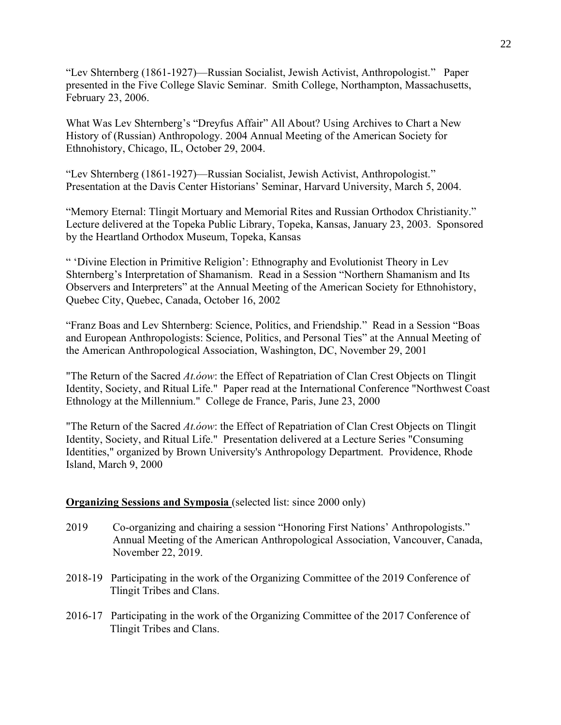"Lev Shternberg (1861-1927)—Russian Socialist, Jewish Activist, Anthropologist." Paper presented in the Five College Slavic Seminar. Smith College, Northampton, Massachusetts, February 23, 2006.

What Was Lev Shternberg's "Dreyfus Affair" All About? Using Archives to Chart a New History of (Russian) Anthropology. 2004 Annual Meeting of the American Society for Ethnohistory, Chicago, IL, October 29, 2004.

"Lev Shternberg (1861-1927)—Russian Socialist, Jewish Activist, Anthropologist." Presentation at the Davis Center Historians' Seminar, Harvard University, March 5, 2004.

"Memory Eternal: Tlingit Mortuary and Memorial Rites and Russian Orthodox Christianity." Lecture delivered at the Topeka Public Library, Topeka, Kansas, January 23, 2003. Sponsored by the Heartland Orthodox Museum, Topeka, Kansas

" 'Divine Election in Primitive Religion': Ethnography and Evolutionist Theory in Lev Shternberg's Interpretation of Shamanism. Read in a Session "Northern Shamanism and Its Observers and Interpreters" at the Annual Meeting of the American Society for Ethnohistory, Quebec City, Quebec, Canada, October 16, 2002

"Franz Boas and Lev Shternberg: Science, Politics, and Friendship." Read in a Session "Boas and European Anthropologists: Science, Politics, and Personal Ties" at the Annual Meeting of the American Anthropological Association, Washington, DC, November 29, 2001

"The Return of the Sacred *At.óow*: the Effect of Repatriation of Clan Crest Objects on Tlingit Identity, Society, and Ritual Life." Paper read at the International Conference "Northwest Coast Ethnology at the Millennium." College de France, Paris, June 23, 2000

"The Return of the Sacred *At.óow*: the Effect of Repatriation of Clan Crest Objects on Tlingit Identity, Society, and Ritual Life." Presentation delivered at a Lecture Series "Consuming Identities," organized by Brown University's Anthropology Department. Providence, Rhode Island, March 9, 2000

# **Organizing Sessions and Symposia** (selected list: since 2000 only)

- 2019 Co-organizing and chairing a session "Honoring First Nations' Anthropologists." Annual Meeting of the American Anthropological Association, Vancouver, Canada, November 22, 2019.
- 2018-19 Participating in the work of the Organizing Committee of the 2019 Conference of Tlingit Tribes and Clans.
- 2016-17 Participating in the work of the Organizing Committee of the 2017 Conference of Tlingit Tribes and Clans.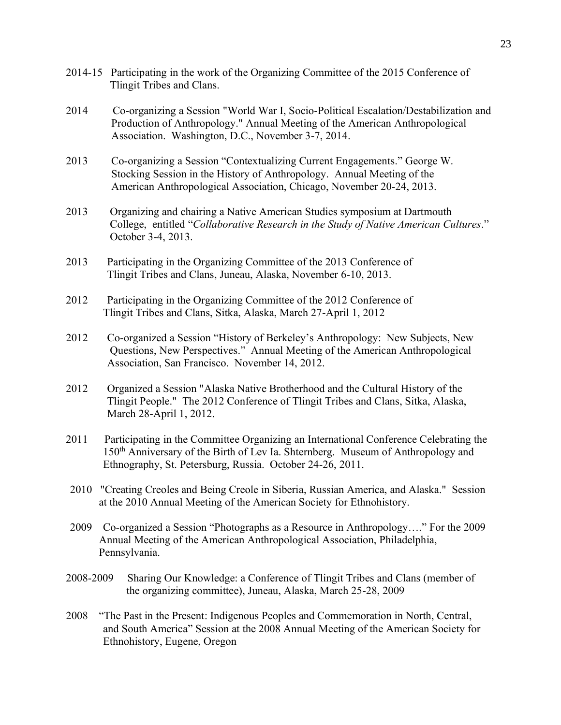- 2014-15 Participating in the work of the Organizing Committee of the 2015 Conference of Tlingit Tribes and Clans.
- 2014 Co-organizing a Session "World War I, Socio-Political Escalation/Destabilization and Production of Anthropology." Annual Meeting of the American Anthropological Association. Washington, D.C., November 3-7, 2014.
- 2013 Co-organizing a Session "Contextualizing Current Engagements." George W. Stocking Session in the History of Anthropology. Annual Meeting of the American Anthropological Association, Chicago, November 20-24, 2013.
- 2013 Organizing and chairing a Native American Studies symposium at Dartmouth College, entitled "*Collaborative Research in the Study of Native American Cultures*." October 3-4, 2013.
- 2013 Participating in the Organizing Committee of the 2013 Conference of Tlingit Tribes and Clans, Juneau, Alaska, November 6-10, 2013.
- 2012 Participating in the Organizing Committee of the 2012 Conference of Tlingit Tribes and Clans, Sitka, Alaska, March 27-April 1, 2012
- 2012 Co-organized a Session "History of Berkeley's Anthropology: New Subjects, New Questions, New Perspectives." Annual Meeting of the American Anthropological Association, San Francisco. November 14, 2012.
- 2012 Organized a Session "Alaska Native Brotherhood and the Cultural History of the Tlingit People." The 2012 Conference of Tlingit Tribes and Clans, Sitka, Alaska, March 28-April 1, 2012.
- 2011 Participating in the Committee Organizing an International Conference Celebrating the 150th Anniversary of the Birth of Lev Ia. Shternberg. Museum of Anthropology and Ethnography, St. Petersburg, Russia. October 24-26, 2011.
- 2010 "Creating Creoles and Being Creole in Siberia, Russian America, and Alaska." Session at the 2010 Annual Meeting of the American Society for Ethnohistory.
- 2009 Co-organized a Session "Photographs as a Resource in Anthropology…." For the 2009 Annual Meeting of the American Anthropological Association, Philadelphia, Pennsylvania.
- 2008-2009 Sharing Our Knowledge: a Conference of Tlingit Tribes and Clans (member of the organizing committee), Juneau, Alaska, March 25-28, 2009
- 2008 "The Past in the Present: Indigenous Peoples and Commemoration in North, Central, and South America" Session at the 2008 Annual Meeting of the American Society for Ethnohistory, Eugene, Oregon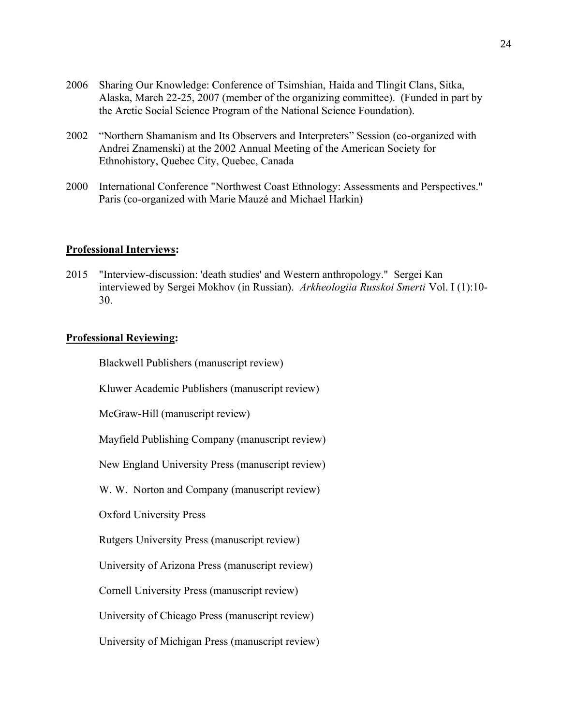- 2006 Sharing Our Knowledge: Conference of Tsimshian, Haida and Tlingit Clans, Sitka, Alaska, March 22-25, 2007 (member of the organizing committee). (Funded in part by the Arctic Social Science Program of the National Science Foundation).
- 2002 "Northern Shamanism and Its Observers and Interpreters" Session (co-organized with Andrei Znamenski) at the 2002 Annual Meeting of the American Society for Ethnohistory, Quebec City, Quebec, Canada
- 2000 International Conference "Northwest Coast Ethnology: Assessments and Perspectives." Paris (co-organized with Marie Mauzé and Michael Harkin)

## **Professional Interviews:**

2015 "Interview-discussion: 'death studies' and Western anthropology." Sergei Kan interviewed by Sergei Mokhov (in Russian). *Arkheologiia Russkoi Smerti* Vol. I (1):10- 30.

#### **Professional Reviewing:**

Blackwell Publishers (manuscript review)

Kluwer Academic Publishers (manuscript review)

McGraw-Hill (manuscript review)

Mayfield Publishing Company (manuscript review)

New England University Press (manuscript review)

W. W. Norton and Company (manuscript review)

Oxford University Press

Rutgers University Press (manuscript review)

University of Arizona Press (manuscript review)

Cornell University Press (manuscript review)

University of Chicago Press (manuscript review)

University of Michigan Press (manuscript review)